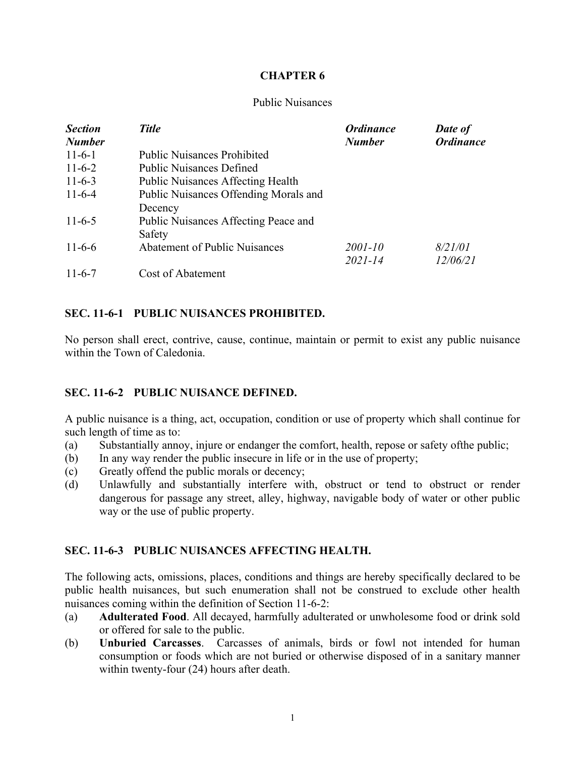### **CHAPTER 6**

#### Public Nuisances

| <b>Section</b> | <b>Title</b>                             | <b>Ordinance</b> | Date of          |
|----------------|------------------------------------------|------------------|------------------|
| <b>Number</b>  |                                          | <b>Number</b>    | <b>Ordinance</b> |
| $11-6-1$       | <b>Public Nuisances Prohibited</b>       |                  |                  |
| $11-6-2$       | <b>Public Nuisances Defined</b>          |                  |                  |
| $11-6-3$       | <b>Public Nuisances Affecting Health</b> |                  |                  |
| $11-6-4$       | Public Nuisances Offending Morals and    |                  |                  |
|                | Decency                                  |                  |                  |
| $11-6-5$       | Public Nuisances Affecting Peace and     |                  |                  |
|                | Safety                                   |                  |                  |
| $11-6-6$       | <b>Abatement of Public Nuisances</b>     | 2001-10          | 8/21/01          |
|                |                                          | $2021 - 14$      | 12/06/21         |
| $11-6-7$       | Cost of Abatement                        |                  |                  |

### **SEC. 11-6-1 PUBLIC NUISANCES PROHIBITED.**

No person shall erect, contrive, cause, continue, maintain or permit to exist any public nuisance within the Town of Caledonia.

#### **SEC. 11-6-2 PUBLIC NUISANCE DEFINED.**

A public nuisance is a thing, act, occupation, condition or use of property which shall continue for such length of time as to:

- (a) Substantially annoy, injure or endanger the comfort, health, repose or safety ofthe public;
- (b) In any way render the public insecure in life or in the use of property;
- (c) Greatly offend the public morals or decency;
- (d) Unlawfully and substantially interfere with, obstruct or tend to obstruct or render dangerous for passage any street, alley, highway, navigable body of water or other public way or the use of public property.

#### **SEC. 11-6-3 PUBLIC NUISANCES AFFECTING HEALTH.**

The following acts, omissions, places, conditions and things are hereby specifically declared to be public health nuisances, but such enumeration shall not be construed to exclude other health nuisances coming within the definition of Section 11-6-2:

- (a) **Adulterated Food**. All decayed, harmfully adulterated or unwholesome food or drink sold or offered for sale to the public.
- (b) **Unburied Carcasses**. Carcasses of animals, birds or fowl not intended for human consumption or foods which are not buried or otherwise disposed of in a sanitary manner within twenty-four (24) hours after death.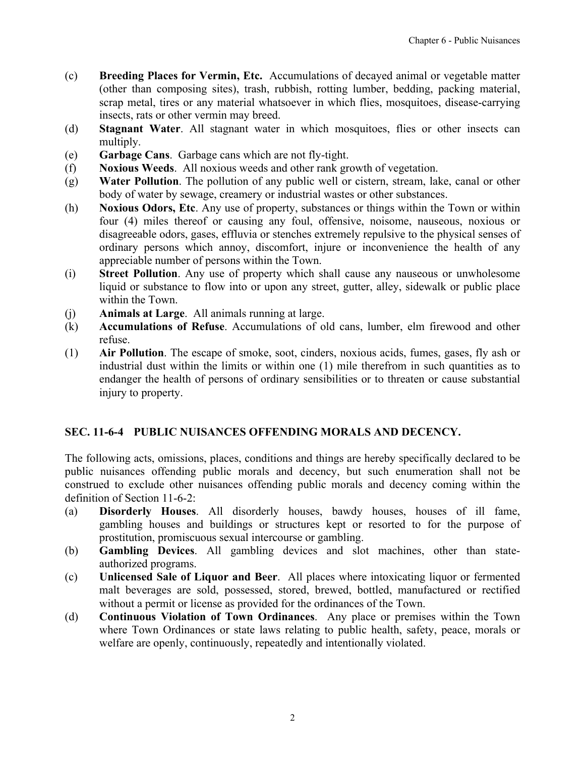- <span id="page-1-0"></span>(c) **Breeding Places for Vermin, Etc.** Accumulations of decayed animal or vegetable matter (other than composing sites), trash, rubbish, rotting lumber, bedding, packing material, scrap metal, tires or any material whatsoever in which flies, mosquitoes, disease-carrying insects, rats or other vermin may breed.
- (d) **Stagnant Water**. All stagnant water in which mosquitoes, flies or other insects can multiply.
- (e) **Garbage Cans**. Garbage cans which are not fly-tight.
- (f) **Noxious Weeds**. All noxious weeds and other rank growth of vegetation.
- (g) **Water Pollution**. The pollution of any public well or cistern, stream, lake, canal or other body of water by sewage, creamery or industrial wastes or other substances.
- (h) **Noxious Odors, Etc**. Any use of property, substances or things within the Town or within four (4) miles thereof or causing any foul, offensive, noisome, nauseous, noxious or disagreeable odors, gases, effluvia or stenches extremely repulsive to the physical senses of ordinary persons which annoy, discomfort, injure or inconvenience the health of any appreciable number of persons within the Town.
- (i) **Street Pollution**. Any use of property which shall cause any nauseous or unwholesome liquid or substance to flow into or upon any street, gutter, alley, sidewalk or public place within the Town.
- (j) **Animals at Large**. All animals running at large.
- (k) **Accumulations of Refuse**. Accumulations of old cans, lumber, elm firewood and other refuse.
- (1) **Air Pollution**. The escape of smoke, soot, cinders, noxious acids, fumes, gases, fly ash or industrial dust within the limits or within one (1) mile therefrom in such quantities as to endanger the health of persons of ordinary sensibilities or to threaten or cause substantial injury to property.

## **SEC. 11-6-4 PUBLIC NUISANCES OFFENDING MORALS AND DECENCY.**

The following acts, omissions, places, conditions and things are hereby specifically declared to be public nuisances offending public morals and decency, but such enumeration shall not be construed to exclude other nuisances offending public morals and decency coming within the definition of Section 11-6-2:

- (a) **Disorderly Houses**. All disorderly houses, bawdy houses, houses of ill fame, gambling houses and buildings or structures kept or resorted to for the purpose of prostitution, promiscuous sexual intercourse or gambling.
- (b) **Gambling Devices**. All gambling devices and slot machines, other than stateauthorized programs.
- (c) **Unlicensed Sale of Liquor and Beer**. All places where intoxicating liquor or fermented malt beverages are sold, possessed, stored, brewed, bottled, manufactured or rectified without a permit or license as provided for the ordinances of the Town.
- (d) **Continuous Violation of Town Ordinances**. Any place or premises within the Town where Town Ordinances or state laws relating to public health, safety, peace, morals or welfare are openly, continuously, repeatedly and intentionally violated.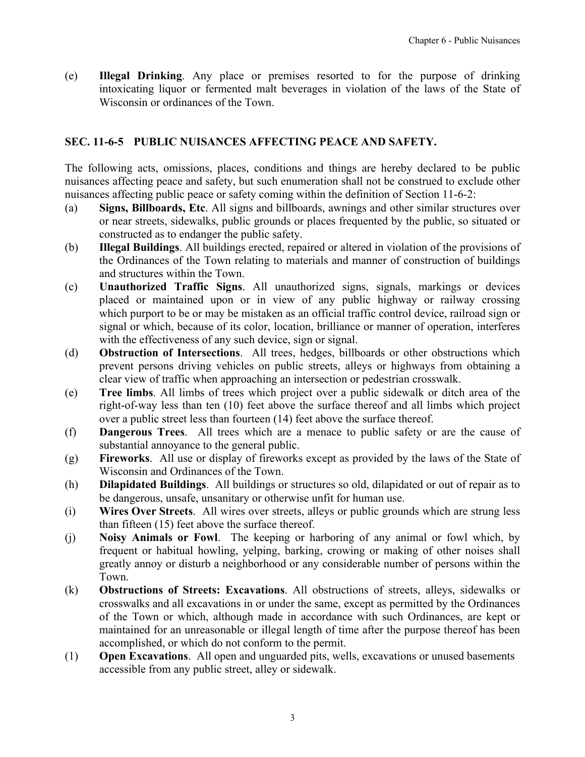<span id="page-2-0"></span>(e) **Illegal Drinking**. Any place or premises resorted to for the purpose of drinking intoxicating liquor or fermented malt beverages in violation of the laws of the State of Wisconsin or ordinances of the Town.

# **SEC. 11-6-5 PUBLIC NUISANCES AFFECTING PEACE AND SAFETY.**

The following acts, omissions, places, conditions and things are hereby declared to be public nuisances affecting peace and safety, but such enumeration shall not be construed to exclude other nuisances affecting public peace or safety coming within the definition of Section 11-6-2:

- (a) **Signs, Billboards, Etc**. All signs and billboards, awnings and other similar structures over or near streets, sidewalks, public grounds or places frequented by the public, so situated or constructed as to endanger the public safety.
- (b) **Illegal Buildings**. All buildings erected, repaired or altered in violation of the provisions of the Ordinances of the Town relating to materials and manner of construction of buildings and structures within the Town.
- (c) **Unauthorized Traffic Signs**. All unauthorized signs, signals, markings or devices placed or maintained upon or in view of any public highway or railway crossing which purport to be or may be mistaken as an official traffic control device, railroad sign or signal or which, because of its color, location, brilliance or manner of operation, interferes with the effectiveness of any such device, sign or signal.
- (d) **Obstruction of Intersections**. All trees, hedges, billboards or other obstructions which prevent persons driving vehicles on public streets, alleys or highways from obtaining a clear view of traffic when approaching an intersection or pedestrian crosswalk.
- (e) **Tree limbs**. All limbs of trees which project over a public sidewalk or ditch area of the right-of-way less than ten (10) feet above the surface thereof and all limbs which project over a public street less than fourteen (14) feet above the surface thereof.
- (f) **Dangerous Trees**. All trees which are a menace to public safety or are the cause of substantial annoyance to the general public.
- (g) **Fireworks**. All use or display of fireworks except as provided by the laws of the State of Wisconsin and Ordinances of the Town.
- (h) **Dilapidated Buildings**. All buildings or structures so old, dilapidated or out of repair as to be dangerous, unsafe, unsanitary or otherwise unfit for human use.
- (i) **Wires Over Streets**. All wires over streets, alleys or public grounds which are strung less than fifteen (15) feet above the surface thereof.
- (j) **Noisy Animals or Fowl**.The keeping or harboring of any animal or fowl which, by frequent or habitual howling, yelping, barking, crowing or making of other noises shall greatly annoy or disturb a neighborhood or any considerable number of persons within the Town.
- (k) **Obstructions of Streets: Excavations**. All obstructions of streets, alleys, sidewalks or crosswalks and all excavations in or under the same, except as permitted by the Ordinances of the Town or which, although made in accordance with such Ordinances, are kept or maintained for an unreasonable or illegal length of time after the purpose thereof has been accomplished, or which do not conform to the permit.
- (1) **Open Excavations**. All open and unguarded pits, wells, excavations or unused basements accessible from any public street, alley or sidewalk.